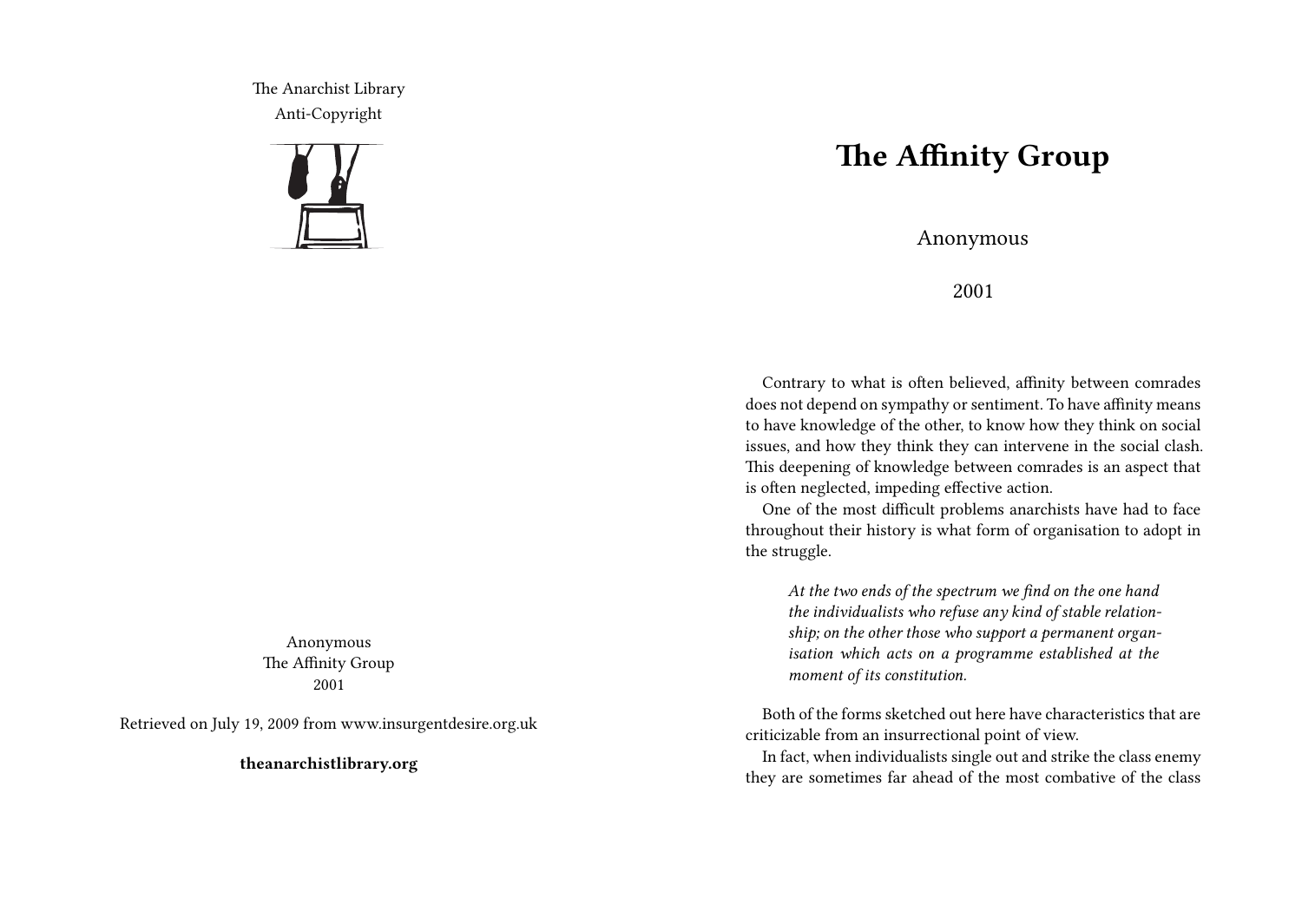The Anarchist Library Anti-Copyright



Anonymous The Affinity Group 2001

Retrieved on July 19, 2009 from www.insurgentdesire.org.uk

**theanarchistlibrary.org**

## **The Affinity Group**

Anonymous

2001

Contrary to what is often believed, affinity between comrades does not depend on sympathy or sentiment. To have affinity means to have knowledge of the other, to know how they think on social issues, and how they think they can intervene in the social clash. This deepening of knowledge between comrades is an aspect that is often neglected, impeding effective action.

One of the most difficult problems anarchists have had to face throughout their history is what form of organisation to adopt in the struggle.

*At the two ends of the spectrum we find on the one hand the individualists who refuse any kind of stable relationship; on the other those who support a permanent organisation which acts on a programme established at the moment of its constitution.*

Both of the forms sketched out here have characteristics that are criticizable from an insurrectional point of view.

In fact, when individualists single out and strike the class enemy they are sometimes far ahead of the most combative of the class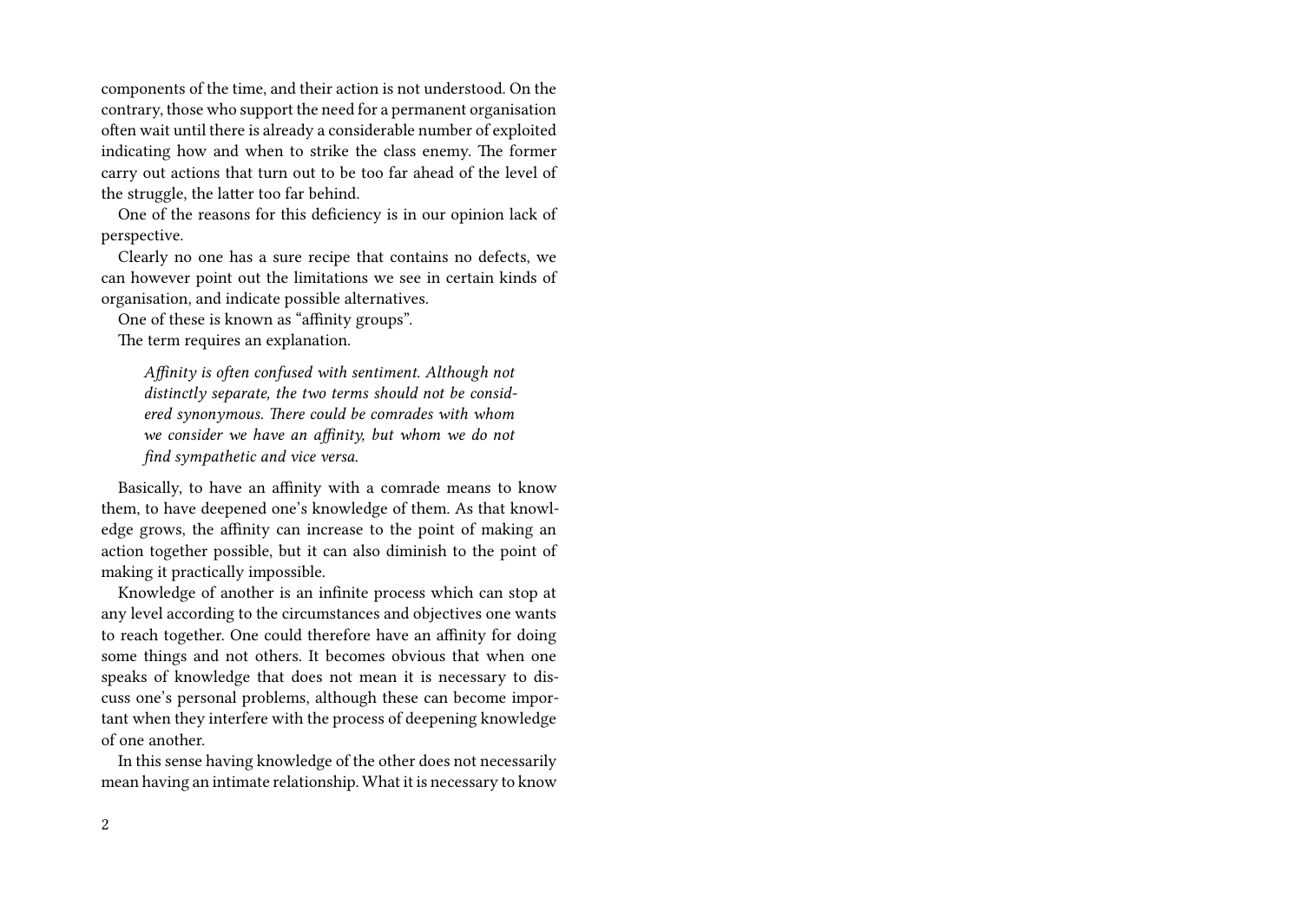components of the time, and their action is not understood. On the contrary, those who support the need for a permanent organisation often wait until there is already a considerable number of exploited indicating how and when to strike the class enemy. The former carry out actions that turn out to be too far ahead of the level of the struggle, the latter too far behind.

One of the reasons for this deficiency is in our opinion lack of perspective.

Clearly no one has a sure recipe that contains no defects, we can however point out the limitations we see in certain kinds of organisation, and indicate possible alternatives.

One of these is known as "affinity groups".

The term requires an explanation.

*Affinity is often confused with sentiment. Although not distinctly separate, the two terms should not be considered synonymous. There could be comrades with whom we consider we have an affinity, but whom we do not find sympathetic and vice versa.*

Basically, to have an affinity with a comrade means to know them, to have deepened one's knowledge of them. As that knowledge grows, the affinity can increase to the point of making an action together possible, but it can also diminish to the point of making it practically impossible.

Knowledge of another is an infinite process which can stop at any level according to the circumstances and objectives one wants to reach together. One could therefore have an affinity for doing some things and not others. It becomes obvious that when one speaks of knowledge that does not mean it is necessary to discuss one's personal problems, although these can become important when they interfere with the process of deepening knowledge of one another.

In this sense having knowledge of the other does not necessarily mean having an intimate relationship. What it is necessary to know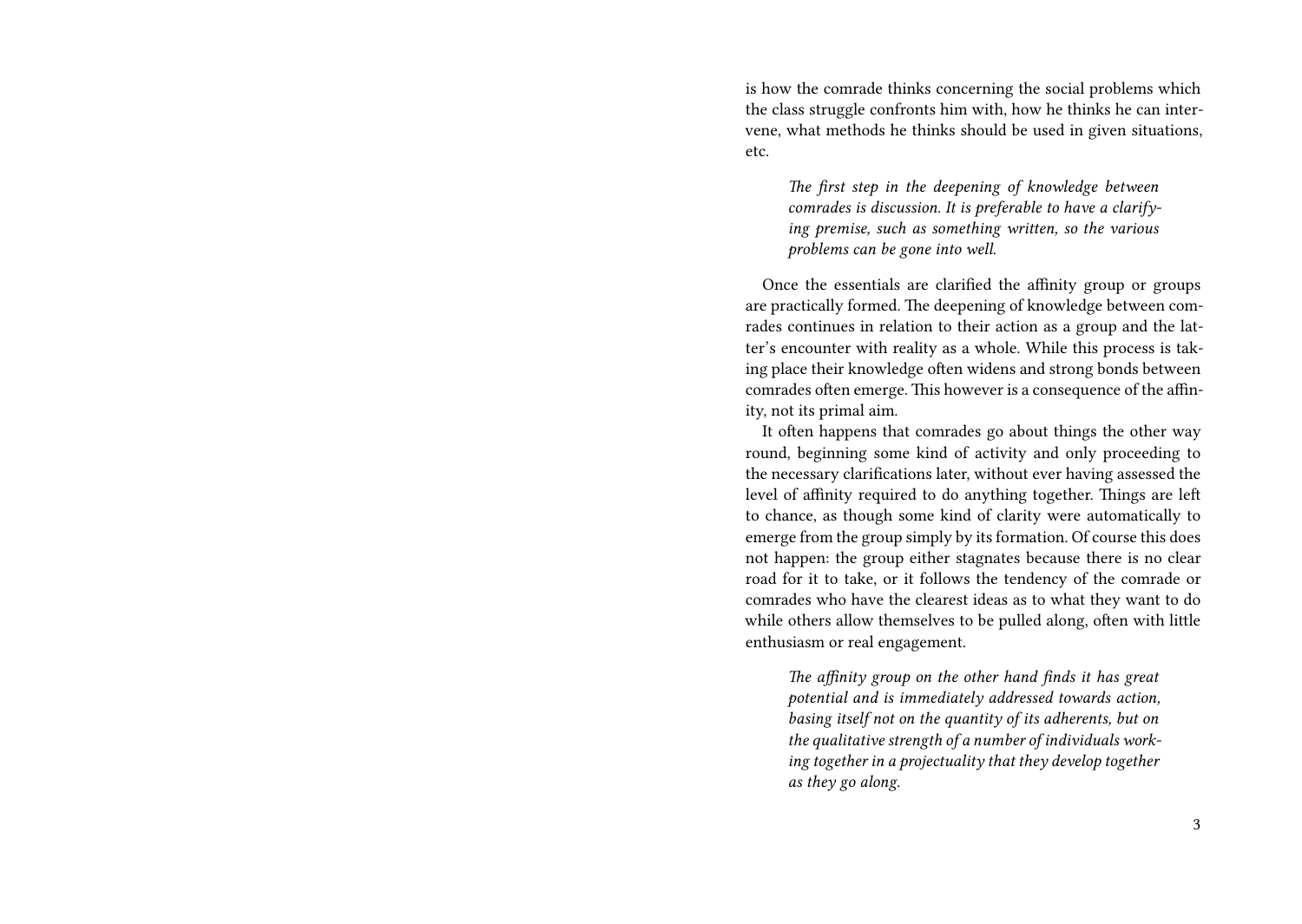is how the comrade thinks concerning the social problems which the class struggle confronts him with, how he thinks he can intervene, what methods he thinks should be used in given situations, etc.

*The first step in the deepening of knowledge between comrades is discussion. It is preferable to have a clarifying premise, such as something written, so the various problems can be gone into well.*

Once the essentials are clarified the affinity group or groups are practically formed. The deepening of knowledge between comrades continues in relation to their action as a group and the latter's encounter with reality as a whole. While this process is taking place their knowledge often widens and strong bonds between comrades often emerge. This however is a consequence of the affinity, not its primal aim.

It often happens that comrades go about things the other way round, beginning some kind of activity and only proceeding to the necessary clarifications later, without ever having assessed the level of affinity required to do anything together. Things are left to chance, as though some kind of clarity were automatically to emerge from the group simply by its formation. Of course this does not happen: the group either stagnates because there is no clear road for it to take, or it follows the tendency of the comrade or comrades who have the clearest ideas as to what they want to do while others allow themselves to be pulled along, often with little enthusiasm or real engagement.

*The affinity group on the other hand finds it has great potential and is immediately addressed towards action, basing itself not on the quantity of its adherents, but on the qualitative strength of a number of individuals working together in a projectuality that they develop together as they go along.*